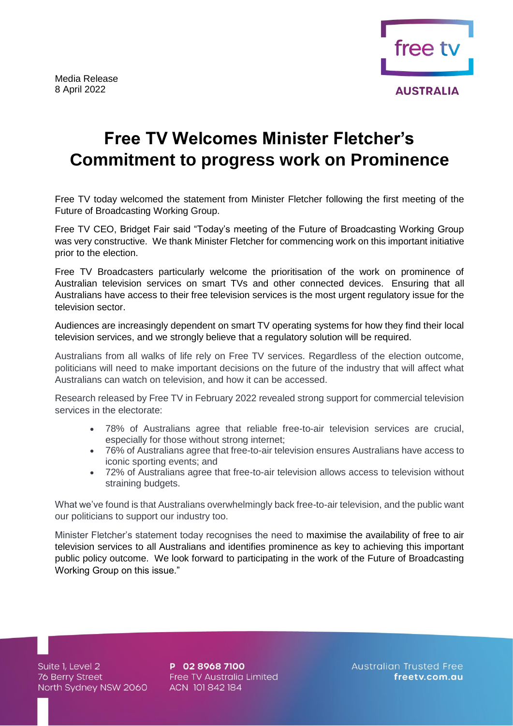

## **Free TV Welcomes Minister Fletcher's Commitment to progress work on Prominence**

Free TV today welcomed the statement from Minister Fletcher following the first meeting of the Future of Broadcasting Working Group.

Free TV CEO, Bridget Fair said "Today's meeting of the Future of Broadcasting Working Group was very constructive. We thank Minister Fletcher for commencing work on this important initiative prior to the election.

Free TV Broadcasters particularly welcome the prioritisation of the work on prominence of Australian television services on smart TVs and other connected devices. Ensuring that all Australians have access to their free television services is the most urgent regulatory issue for the television sector.

Audiences are increasingly dependent on smart TV operating systems for how they find their local television services, and we strongly believe that a regulatory solution will be required.

Australians from all walks of life rely on Free TV services. Regardless of the election outcome, politicians will need to make important decisions on the future of the industry that will affect what Australians can watch on television, and how it can be accessed.

Research released by Free TV in February 2022 revealed strong support for commercial television services in the electorate:

- 78% of Australians agree that reliable free-to-air television services are crucial, especially for those without strong internet;
- 76% of Australians agree that free-to-air television ensures Australians have access to iconic sporting events; and
- 72% of Australians agree that free-to-air television allows access to television without straining budgets.

What we've found is that Australians overwhelmingly back free-to-air television, and the public want our politicians to support our industry too.

Minister Fletcher's statement today recognises the need to maximise the availability of free to air television services to all Australians and identifies prominence as key to achieving this important public policy outcome. We look forward to participating in the work of the Future of Broadcasting Working Group on this issue."

Suite 1, Level 2 76 Berry Street North Sydney NSW 2060 P 02 8968 7100 Free TV Australia Limited ACN 101 842 184

**Australian Trusted Free** freetv.com.au